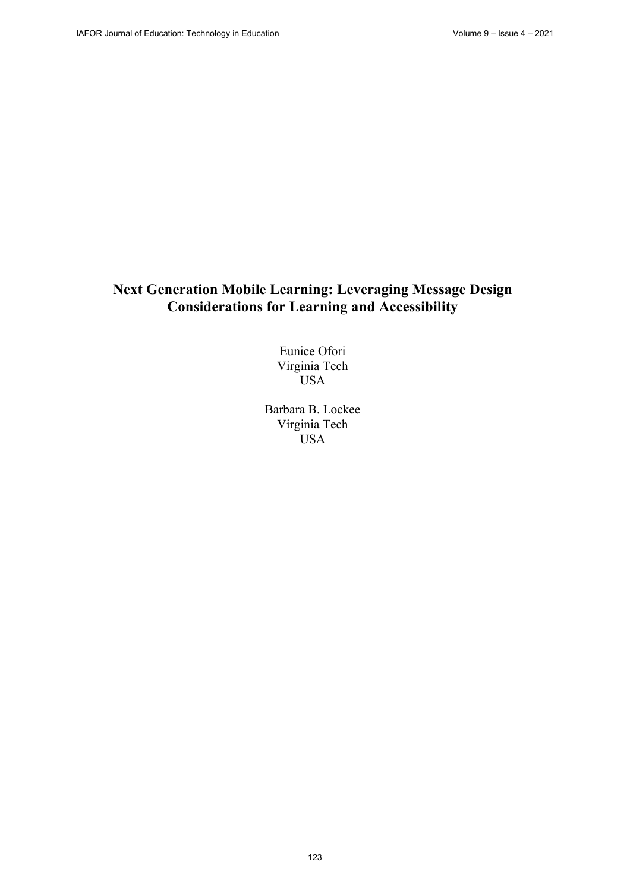# **Next Generation Mobile Learning: Leveraging Message Design Considerations for Learning and Accessibility**

Eunice Ofori Virginia Tech USA

Barbara B. Lockee Virginia Tech USA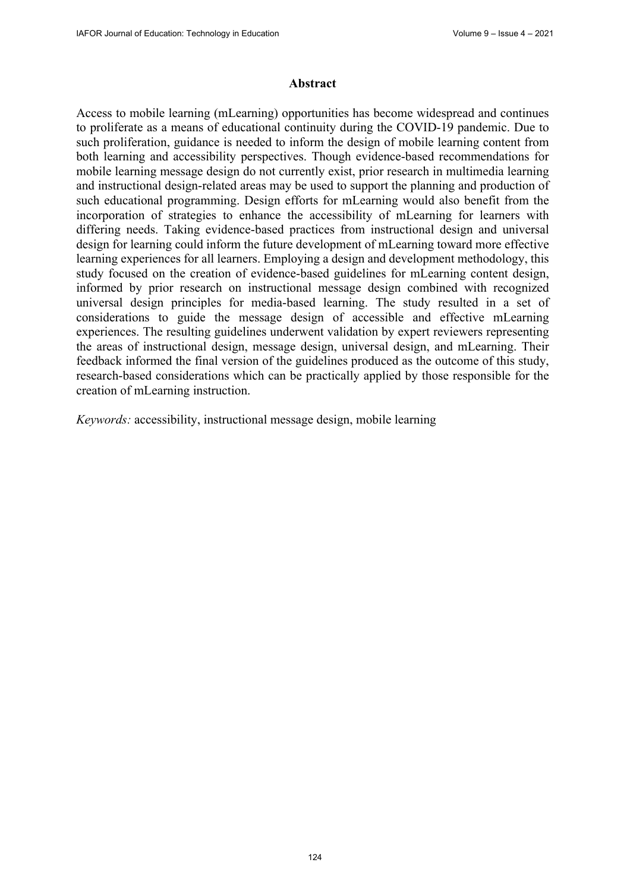#### **Abstract**

Access to mobile learning (mLearning) opportunities has become widespread and continues to proliferate as a means of educational continuity during the COVID-19 pandemic. Due to such proliferation, guidance is needed to inform the design of mobile learning content from both learning and accessibility perspectives. Though evidence-based recommendations for mobile learning message design do not currently exist, prior research in multimedia learning and instructional design-related areas may be used to support the planning and production of such educational programming. Design efforts for mLearning would also benefit from the incorporation of strategies to enhance the accessibility of mLearning for learners with differing needs. Taking evidence-based practices from instructional design and universal design for learning could inform the future development of mLearning toward more effective learning experiences for all learners. Employing a design and development methodology, this study focused on the creation of evidence-based guidelines for mLearning content design, informed by prior research on instructional message design combined with recognized universal design principles for media-based learning. The study resulted in a set of considerations to guide the message design of accessible and effective mLearning experiences. The resulting guidelines underwent validation by expert reviewers representing the areas of instructional design, message design, universal design, and mLearning. Their feedback informed the final version of the guidelines produced as the outcome of this study, research-based considerations which can be practically applied by those responsible for the creation of mLearning instruction.

*Keywords:* accessibility, instructional message design, mobile learning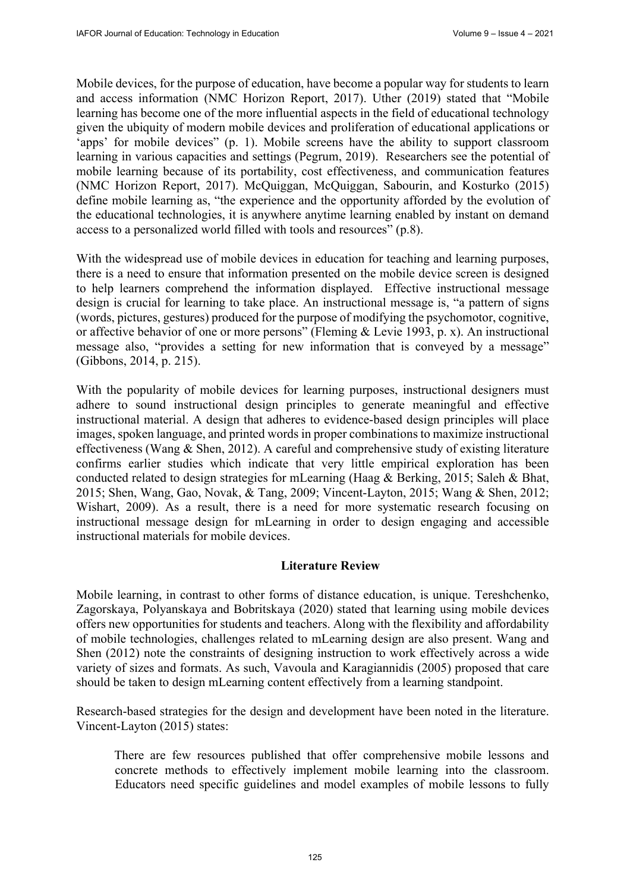Mobile devices, for the purpose of education, have become a popular way for students to learn and access information (NMC Horizon Report, 2017). Uther (2019) stated that "Mobile learning has become one of the more influential aspects in the field of educational technology given the ubiquity of modern mobile devices and proliferation of educational applications or 'apps' for mobile devices" (p. 1). Mobile screens have the ability to support classroom learning in various capacities and settings (Pegrum, 2019). Researchers see the potential of mobile learning because of its portability, cost effectiveness, and communication features (NMC Horizon Report, 2017). McQuiggan, McQuiggan, Sabourin, and Kosturko (2015) define mobile learning as, "the experience and the opportunity afforded by the evolution of the educational technologies, it is anywhere anytime learning enabled by instant on demand access to a personalized world filled with tools and resources" (p.8).

With the widespread use of mobile devices in education for teaching and learning purposes, there is a need to ensure that information presented on the mobile device screen is designed to help learners comprehend the information displayed. Effective instructional message design is crucial for learning to take place. An instructional message is, "a pattern of signs (words, pictures, gestures) produced for the purpose of modifying the psychomotor, cognitive, or affective behavior of one or more persons" (Fleming & Levie 1993, p. x). An instructional message also, "provides a setting for new information that is conveyed by a message" (Gibbons, 2014, p. 215).

With the popularity of mobile devices for learning purposes, instructional designers must adhere to sound instructional design principles to generate meaningful and effective instructional material. A design that adheres to evidence-based design principles will place images, spoken language, and printed words in proper combinations to maximize instructional effectiveness (Wang & Shen, 2012). A careful and comprehensive study of existing literature confirms earlier studies which indicate that very little empirical exploration has been conducted related to design strategies for mLearning (Haag & Berking, 2015; Saleh & Bhat, 2015; Shen, Wang, Gao, Novak, & Tang, 2009; Vincent-Layton, 2015; Wang & Shen, 2012; Wishart, 2009). As a result, there is a need for more systematic research focusing on instructional message design for mLearning in order to design engaging and accessible instructional materials for mobile devices.

## **Literature Review**

Mobile learning, in contrast to other forms of distance education, is unique. Tereshchenko, Zagorskaya, Polyanskaya and Bobritskaya (2020) stated that learning using mobile devices offers new opportunities for students and teachers. Along with the flexibility and affordability of mobile technologies, challenges related to mLearning design are also present. Wang and Shen (2012) note the constraints of designing instruction to work effectively across a wide variety of sizes and formats. As such, Vavoula and Karagiannidis (2005) proposed that care should be taken to design mLearning content effectively from a learning standpoint.

Research-based strategies for the design and development have been noted in the literature. Vincent-Layton (2015) states:

There are few resources published that offer comprehensive mobile lessons and concrete methods to effectively implement mobile learning into the classroom. Educators need specific guidelines and model examples of mobile lessons to fully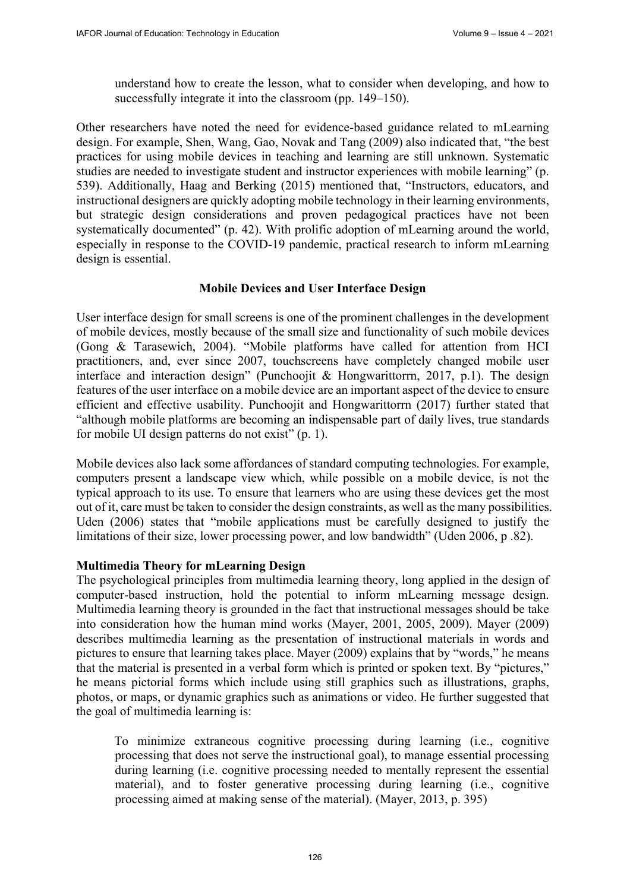understand how to create the lesson, what to consider when developing, and how to successfully integrate it into the classroom (pp. 149–150).

Other researchers have noted the need for evidence-based guidance related to mLearning design. For example, Shen, Wang, Gao, Novak and Tang (2009) also indicated that, "the best practices for using mobile devices in teaching and learning are still unknown. Systematic studies are needed to investigate student and instructor experiences with mobile learning" (p. 539). Additionally, Haag and Berking (2015) mentioned that, "Instructors, educators, and instructional designers are quickly adopting mobile technology in their learning environments, but strategic design considerations and proven pedagogical practices have not been systematically documented" (p. 42). With prolific adoption of mLearning around the world, especially in response to the COVID-19 pandemic, practical research to inform mLearning design is essential.

## **Mobile Devices and User Interface Design**

User interface design for small screens is one of the prominent challenges in the development of mobile devices, mostly because of the small size and functionality of such mobile devices (Gong & Tarasewich, 2004). "Mobile platforms have called for attention from HCI practitioners, and, ever since 2007, touchscreens have completely changed mobile user interface and interaction design" (Punchoojit & Hongwarittorrn, 2017, p.1). The design features of the user interface on a mobile device are an important aspect of the device to ensure efficient and effective usability. Punchoojit and Hongwarittorrn (2017) further stated that "although mobile platforms are becoming an indispensable part of daily lives, true standards for mobile UI design patterns do not exist" (p. 1).

Mobile devices also lack some affordances of standard computing technologies. For example, computers present a landscape view which, while possible on a mobile device, is not the typical approach to its use. To ensure that learners who are using these devices get the most out of it, care must be taken to consider the design constraints, as well as the many possibilities. Uden (2006) states that "mobile applications must be carefully designed to justify the limitations of their size, lower processing power, and low bandwidth" (Uden 2006, p .82).

## **Multimedia Theory for mLearning Design**

The psychological principles from multimedia learning theory, long applied in the design of computer-based instruction, hold the potential to inform mLearning message design. Multimedia learning theory is grounded in the fact that instructional messages should be take into consideration how the human mind works (Mayer, 2001, 2005, 2009). Mayer (2009) describes multimedia learning as the presentation of instructional materials in words and pictures to ensure that learning takes place. Mayer (2009) explains that by "words," he means that the material is presented in a verbal form which is printed or spoken text. By "pictures," he means pictorial forms which include using still graphics such as illustrations, graphs, photos, or maps, or dynamic graphics such as animations or video. He further suggested that the goal of multimedia learning is:

To minimize extraneous cognitive processing during learning (i.e., cognitive processing that does not serve the instructional goal), to manage essential processing during learning (i.e. cognitive processing needed to mentally represent the essential material), and to foster generative processing during learning (i.e., cognitive processing aimed at making sense of the material). (Mayer, 2013, p. 395)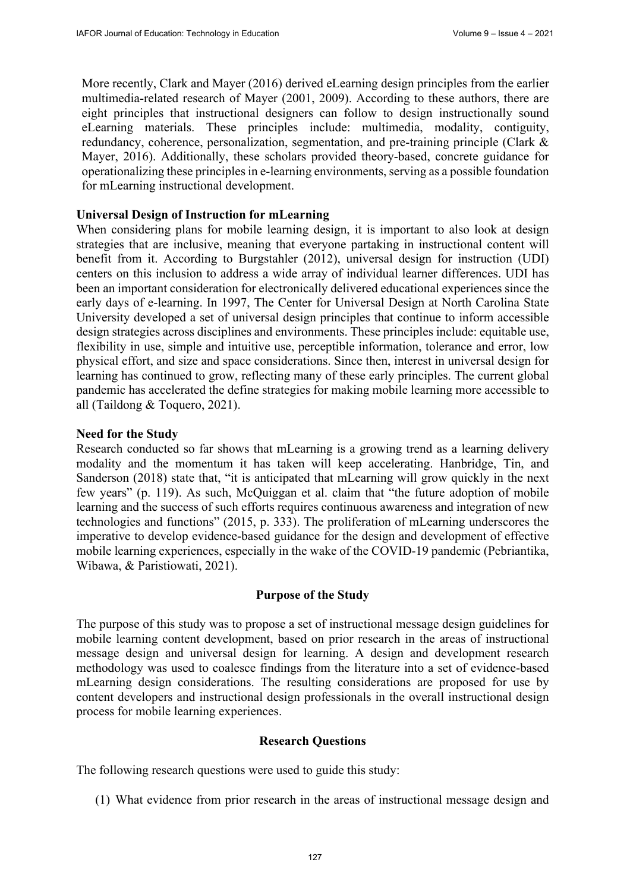More recently, Clark and Mayer (2016) derived eLearning design principles from the earlier multimedia-related research of Mayer (2001, 2009). According to these authors, there are eight principles that instructional designers can follow to design instructionally sound eLearning materials. These principles include: multimedia, modality, contiguity, redundancy, coherence, personalization, segmentation, and pre-training principle (Clark & Mayer, 2016). Additionally, these scholars provided theory-based, concrete guidance for operationalizing these principles in e-learning environments, serving as a possible foundation for mLearning instructional development.

## **Universal Design of Instruction for mLearning**

When considering plans for mobile learning design, it is important to also look at design strategies that are inclusive, meaning that everyone partaking in instructional content will benefit from it. According to Burgstahler (2012), universal design for instruction (UDI) centers on this inclusion to address a wide array of individual learner differences. UDI has been an important consideration for electronically delivered educational experiences since the early days of e-learning. In 1997, The Center for Universal Design at North Carolina State University developed a set of universal design principles that continue to inform accessible design strategies across disciplines and environments. These principles include: equitable use, flexibility in use, simple and intuitive use, perceptible information, tolerance and error, low physical effort, and size and space considerations. Since then, interest in universal design for learning has continued to grow, reflecting many of these early principles. The current global pandemic has accelerated the define strategies for making mobile learning more accessible to all (Taildong & Toquero, 2021).

## **Need for the Study**

Research conducted so far shows that mLearning is a growing trend as a learning delivery modality and the momentum it has taken will keep accelerating. Hanbridge, Tin, and Sanderson (2018) state that, "it is anticipated that mLearning will grow quickly in the next few years" (p. 119). As such, McQuiggan et al. claim that "the future adoption of mobile learning and the success of such efforts requires continuous awareness and integration of new technologies and functions" (2015, p. 333). The proliferation of mLearning underscores the imperative to develop evidence-based guidance for the design and development of effective mobile learning experiences, especially in the wake of the COVID-19 pandemic (Pebriantika, Wibawa, & Paristiowati, 2021).

## **Purpose of the Study**

The purpose of this study was to propose a set of instructional message design guidelines for mobile learning content development, based on prior research in the areas of instructional message design and universal design for learning. A design and development research methodology was used to coalesce findings from the literature into a set of evidence-based mLearning design considerations. The resulting considerations are proposed for use by content developers and instructional design professionals in the overall instructional design process for mobile learning experiences.

#### **Research Questions**

The following research questions were used to guide this study:

(1) What evidence from prior research in the areas of instructional message design and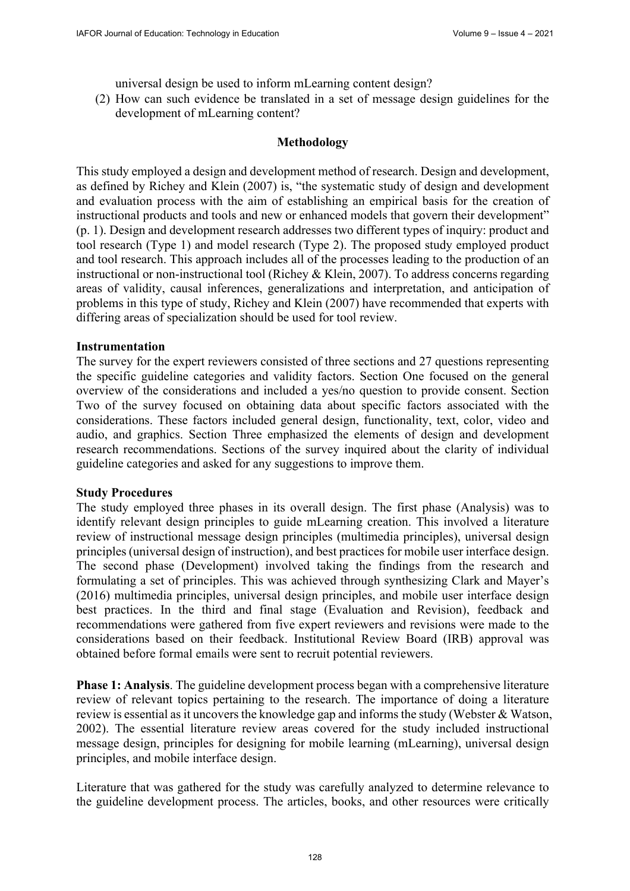universal design be used to inform mLearning content design?

(2) How can such evidence be translated in a set of message design guidelines for the development of mLearning content?

## **Methodology**

This study employed a design and development method of research. Design and development, as defined by Richey and Klein (2007) is, "the systematic study of design and development and evaluation process with the aim of establishing an empirical basis for the creation of instructional products and tools and new or enhanced models that govern their development" (p. 1). Design and development research addresses two different types of inquiry: product and tool research (Type 1) and model research (Type 2). The proposed study employed product and tool research. This approach includes all of the processes leading to the production of an instructional or non-instructional tool (Richey & Klein, 2007). To address concerns regarding areas of validity, causal inferences, generalizations and interpretation, and anticipation of problems in this type of study, Richey and Klein (2007) have recommended that experts with differing areas of specialization should be used for tool review.

#### **Instrumentation**

The survey for the expert reviewers consisted of three sections and 27 questions representing the specific guideline categories and validity factors. Section One focused on the general overview of the considerations and included a yes/no question to provide consent. Section Two of the survey focused on obtaining data about specific factors associated with the considerations. These factors included general design, functionality, text, color, video and audio, and graphics. Section Three emphasized the elements of design and development research recommendations. Sections of the survey inquired about the clarity of individual guideline categories and asked for any suggestions to improve them.

#### **Study Procedures**

The study employed three phases in its overall design. The first phase (Analysis) was to identify relevant design principles to guide mLearning creation. This involved a literature review of instructional message design principles (multimedia principles), universal design principles (universal design of instruction), and best practices for mobile user interface design. The second phase (Development) involved taking the findings from the research and formulating a set of principles. This was achieved through synthesizing Clark and Mayer's (2016) multimedia principles, universal design principles, and mobile user interface design best practices. In the third and final stage (Evaluation and Revision), feedback and recommendations were gathered from five expert reviewers and revisions were made to the considerations based on their feedback. Institutional Review Board (IRB) approval was obtained before formal emails were sent to recruit potential reviewers.

**Phase 1: Analysis**. The guideline development process began with a comprehensive literature review of relevant topics pertaining to the research. The importance of doing a literature review is essential as it uncovers the knowledge gap and informs the study (Webster & Watson, 2002). The essential literature review areas covered for the study included instructional message design, principles for designing for mobile learning (mLearning), universal design principles, and mobile interface design.

Literature that was gathered for the study was carefully analyzed to determine relevance to the guideline development process. The articles, books, and other resources were critically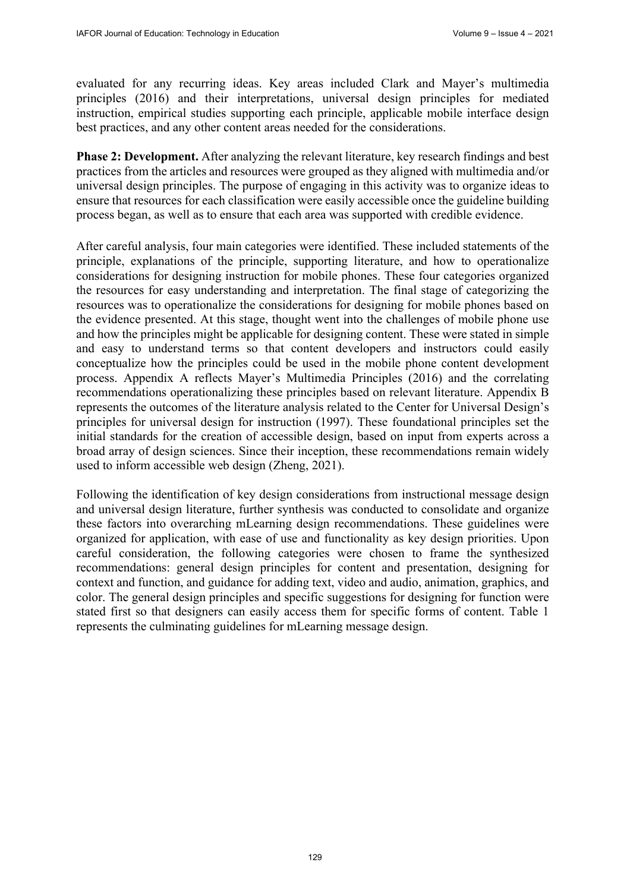evaluated for any recurring ideas. Key areas included Clark and Mayer's multimedia principles (2016) and their interpretations, universal design principles for mediated instruction, empirical studies supporting each principle, applicable mobile interface design best practices, and any other content areas needed for the considerations.

**Phase 2: Development.** After analyzing the relevant literature, key research findings and best practices from the articles and resources were grouped as they aligned with multimedia and/or universal design principles. The purpose of engaging in this activity was to organize ideas to ensure that resources for each classification were easily accessible once the guideline building process began, as well as to ensure that each area was supported with credible evidence.

After careful analysis, four main categories were identified. These included statements of the principle, explanations of the principle, supporting literature, and how to operationalize considerations for designing instruction for mobile phones. These four categories organized the resources for easy understanding and interpretation. The final stage of categorizing the resources was to operationalize the considerations for designing for mobile phones based on the evidence presented. At this stage, thought went into the challenges of mobile phone use and how the principles might be applicable for designing content. These were stated in simple and easy to understand terms so that content developers and instructors could easily conceptualize how the principles could be used in the mobile phone content development process. Appendix A reflects Mayer's Multimedia Principles (2016) and the correlating recommendations operationalizing these principles based on relevant literature. Appendix B represents the outcomes of the literature analysis related to the Center for Universal Design's principles for universal design for instruction (1997). These foundational principles set the initial standards for the creation of accessible design, based on input from experts across a broad array of design sciences. Since their inception, these recommendations remain widely used to inform accessible web design (Zheng, 2021).

Following the identification of key design considerations from instructional message design and universal design literature, further synthesis was conducted to consolidate and organize these factors into overarching mLearning design recommendations. These guidelines were organized for application, with ease of use and functionality as key design priorities. Upon careful consideration, the following categories were chosen to frame the synthesized recommendations: general design principles for content and presentation, designing for context and function, and guidance for adding text, video and audio, animation, graphics, and color. The general design principles and specific suggestions for designing for function were stated first so that designers can easily access them for specific forms of content. Table 1 represents the culminating guidelines for mLearning message design.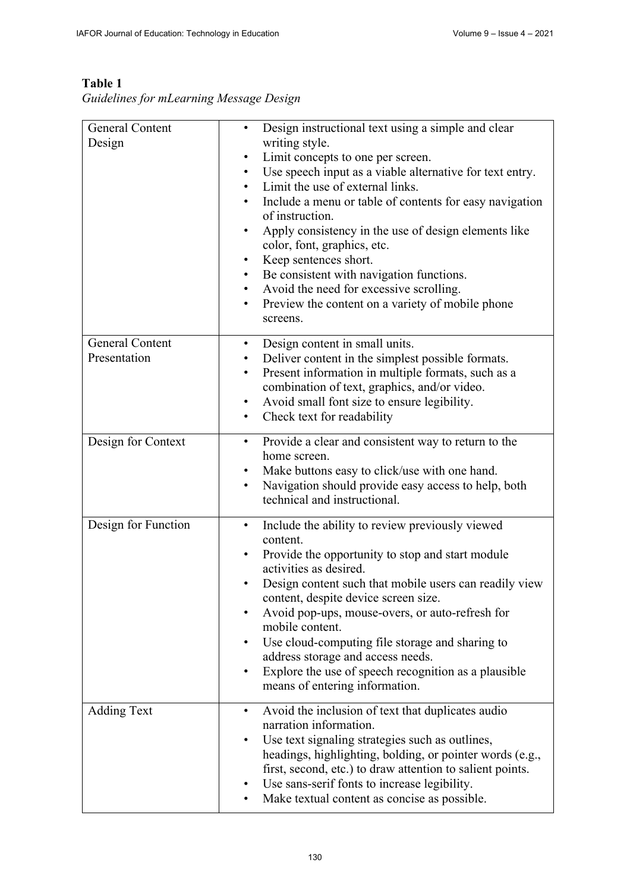## General Content Design • Design instructional text using a simple and clear writing style. Limit concepts to one per screen. Use speech input as a viable alternative for text entry. Limit the use of external links. • Include a menu or table of contents for easy navigation of instruction. • Apply consistency in the use of design elements like color, font, graphics, etc. Keep sentences short. • Be consistent with navigation functions. • Avoid the need for excessive scrolling. • Preview the content on a variety of mobile phone screens. General Content Presentation • Design content in small units. • Deliver content in the simplest possible formats. Present information in multiple formats, such as a combination of text, graphics, and/or video. • Avoid small font size to ensure legibility. Check text for readability Design for Context • Provide a clear and consistent way to return to the home screen. Make buttons easy to click/use with one hand. Navigation should provide easy access to help, both technical and instructional. Design for Function • Include the ability to review previously viewed content. • Provide the opportunity to stop and start module activities as desired. Design content such that mobile users can readily view content, despite device screen size. • Avoid pop-ups, mouse-overs, or auto-refresh for mobile content. Use cloud-computing file storage and sharing to address storage and access needs. • Explore the use of speech recognition as a plausible means of entering information. Adding Text • Avoid the inclusion of text that duplicates audio narration information. Use text signaling strategies such as outlines, headings, highlighting, bolding, or pointer words (e.g., first, second, etc.) to draw attention to salient points. Use sans-serif fonts to increase legibility. Make textual content as concise as possible.

## **Table 1**

*Guidelines for mLearning Message Design*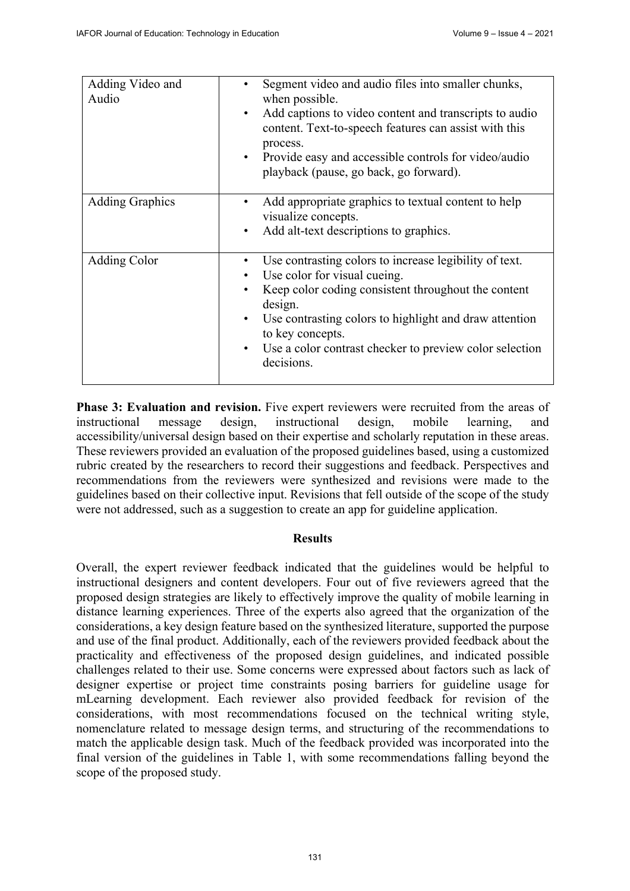| Adding Video and<br>Audio | Segment video and audio files into smaller chunks,<br>when possible.<br>Add captions to video content and transcripts to audio<br>٠<br>content. Text-to-speech features can assist with this<br>process.<br>Provide easy and accessible controls for video/audio<br>playback (pause, go back, go forward).                                  |
|---------------------------|---------------------------------------------------------------------------------------------------------------------------------------------------------------------------------------------------------------------------------------------------------------------------------------------------------------------------------------------|
| <b>Adding Graphics</b>    | Add appropriate graphics to textual content to help<br>visualize concepts.<br>Add alt-text descriptions to graphics.<br>٠                                                                                                                                                                                                                   |
| Adding Color              | Use contrasting colors to increase legibility of text.<br>٠<br>Use color for visual cueing.<br>$\bullet$<br>Keep color coding consistent throughout the content<br>design.<br>Use contrasting colors to highlight and draw attention<br>٠<br>to key concepts.<br>Use a color contrast checker to preview color selection<br>٠<br>decisions. |

**Phase 3: Evaluation and revision.** Five expert reviewers were recruited from the areas of instructional message design, instructional design, mobile learning, and accessibility/universal design based on their expertise and scholarly reputation in these areas. These reviewers provided an evaluation of the proposed guidelines based, using a customized rubric created by the researchers to record their suggestions and feedback. Perspectives and recommendations from the reviewers were synthesized and revisions were made to the guidelines based on their collective input. Revisions that fell outside of the scope of the study were not addressed, such as a suggestion to create an app for guideline application.

## **Results**

Overall, the expert reviewer feedback indicated that the guidelines would be helpful to instructional designers and content developers. Four out of five reviewers agreed that the proposed design strategies are likely to effectively improve the quality of mobile learning in distance learning experiences. Three of the experts also agreed that the organization of the considerations, a key design feature based on the synthesized literature, supported the purpose and use of the final product. Additionally, each of the reviewers provided feedback about the practicality and effectiveness of the proposed design guidelines, and indicated possible challenges related to their use. Some concerns were expressed about factors such as lack of designer expertise or project time constraints posing barriers for guideline usage for mLearning development. Each reviewer also provided feedback for revision of the considerations, with most recommendations focused on the technical writing style, nomenclature related to message design terms, and structuring of the recommendations to match the applicable design task. Much of the feedback provided was incorporated into the final version of the guidelines in Table 1, with some recommendations falling beyond the scope of the proposed study.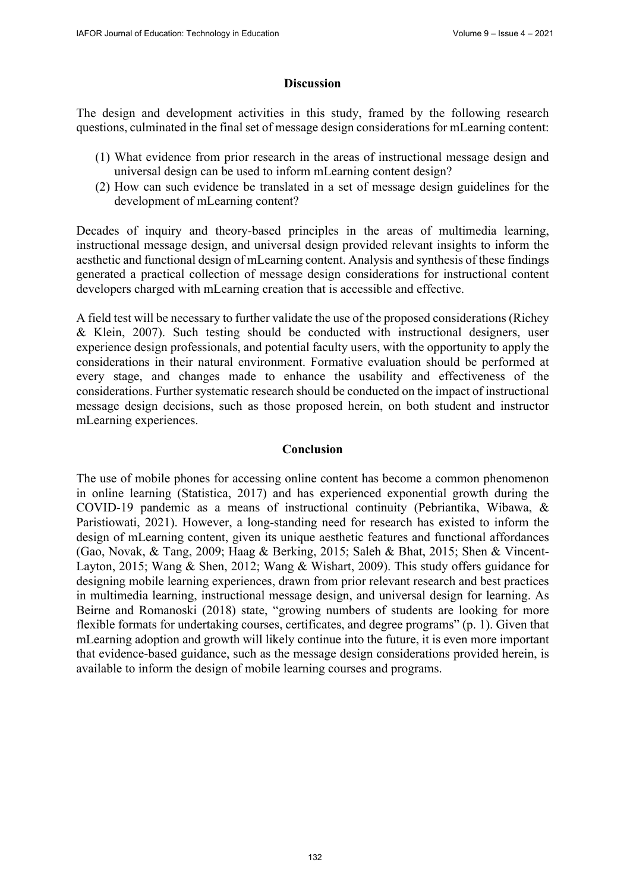## **Discussion**

The design and development activities in this study, framed by the following research questions, culminated in the final set of message design considerations for mLearning content:

- (1) What evidence from prior research in the areas of instructional message design and universal design can be used to inform mLearning content design?
- (2) How can such evidence be translated in a set of message design guidelines for the development of mLearning content?

Decades of inquiry and theory-based principles in the areas of multimedia learning, instructional message design, and universal design provided relevant insights to inform the aesthetic and functional design of mLearning content. Analysis and synthesis of these findings generated a practical collection of message design considerations for instructional content developers charged with mLearning creation that is accessible and effective.

A field test will be necessary to further validate the use of the proposed considerations (Richey & Klein, 2007). Such testing should be conducted with instructional designers, user experience design professionals, and potential faculty users, with the opportunity to apply the considerations in their natural environment. Formative evaluation should be performed at every stage, and changes made to enhance the usability and effectiveness of the considerations. Further systematic research should be conducted on the impact of instructional message design decisions, such as those proposed herein, on both student and instructor mLearning experiences.

## **Conclusion**

The use of mobile phones for accessing online content has become a common phenomenon in online learning (Statistica, 2017) and has experienced exponential growth during the COVID-19 pandemic as a means of instructional continuity (Pebriantika, Wibawa, & Paristiowati, 2021). However, a long-standing need for research has existed to inform the design of mLearning content, given its unique aesthetic features and functional affordances (Gao, Novak, & Tang, 2009; Haag & Berking, 2015; Saleh & Bhat, 2015; Shen & Vincent-Layton, 2015; Wang & Shen, 2012; Wang & Wishart, 2009). This study offers guidance for designing mobile learning experiences, drawn from prior relevant research and best practices in multimedia learning, instructional message design, and universal design for learning. As Beirne and Romanoski (2018) state, "growing numbers of students are looking for more flexible formats for undertaking courses, certificates, and degree programs" (p. 1). Given that mLearning adoption and growth will likely continue into the future, it is even more important that evidence-based guidance, such as the message design considerations provided herein, is available to inform the design of mobile learning courses and programs.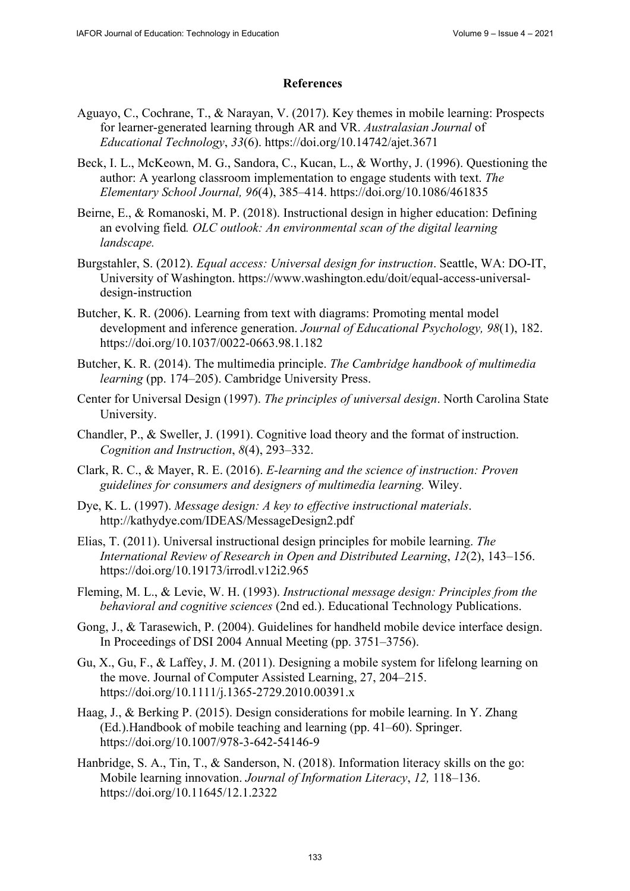## **References**

- Aguayo, C., Cochrane, T., & Narayan, V. (2017). Key themes in mobile learning: Prospects for learner-generated learning through AR and VR. *Australasian Journal* of *Educational Technology*, *33*(6).<https://doi.org/10.14742/ajet.3671>
- Beck, I. L., McKeown, M. G., Sandora, C., Kucan, L., & Worthy, J. (1996). Questioning the author: A yearlong classroom implementation to engage students with text. *The Elementary School Journal, 96*(4), 385–414. <https://doi.org/10.1086/461835>
- Beirne, E., & Romanoski, M. P. (2018). Instructional design in higher education: Defining an evolving field*. OLC outlook: An environmental scan of the digital learning landscape.*
- Burgstahler, S. (2012). *Equal access: Universal design for instruction*. Seattle, WA: DO-IT, [University of Washington. https://www.washington.edu/doit/equal-access-universal](https://www.washington.edu/doit/equal-access-universal-design-instruction)design-[instruction](https://www.washington.edu/doit/equal-access-universal-design-instruction)
- Butcher, K. R. (2006). Learning from text with diagrams: Promoting mental model development and inference generation. *Journal of Educational Psychology, 98*(1), 182. <https://doi.org/10.1037/0022-0663.98.1.182>
- Butcher, K. R. (2014). The multimedia principle. *The Cambridge handbook of multimedia learning* (pp. 174–205). Cambridge University Press.
- Center for Universal Design (1997). *The principles of universal design*. North Carolina State University.
- Chandler, P., & Sweller, J. (1991). Cognitive load theory and the format of instruction. *Cognition and Instruction*, *8*(4), 293–332.
- Clark, R. C., & Mayer, R. E. (2016). *E-learning and the science of instruction: Proven guidelines for consumers and designers of multimedia learning.* Wiley.
- Dye, K. L. (1997). *Message design: A key to effective instructional materials*. <http://kathydye.com/IDEAS/MessageDesign2.pdf>
- Elias, T. (2011). Universal instructional design principles for mobile learning. *The International Review of Research in Open and Distributed Learning*, *12*(2), 143–156. <https://doi.org/10.19173/irrodl.v12i2.965>
- Fleming, M. L., & Levie, W. H. (1993). *Instructional message design: Principles from the behavioral and cognitive sciences* (2nd ed.). Educational Technology Publications.
- Gong, J., & Tarasewich, P. (2004). Guidelines for handheld mobile device interface design. In Proceedings of DSI 2004 Annual Meeting (pp. 3751–3756).
- Gu, X., Gu, F., & Laffey, J. M. (2011). Designing a mobile system for lifelong learning on the move. Journal of Computer Assisted Learning, 27, 204–215. <https://doi.org/10.1111/j.1365-2729.2010.00391.x>
- Haag, J., & Berking P. (2015). Design considerations for mobile learning. In Y. Zhang (Ed.).Handbook of mobile teaching and learning (pp. 41–60). Springer. <https://doi.org/10.1007/978-3-642-54146-9>
- Hanbridge, S. A., Tin, T., & Sanderson, N. (2018). Information literacy skills on the go: Mobile learning innovation. *Journal of Information Literacy*, *12,* 118–136. <https://doi.org/10.11645/12.1.2322>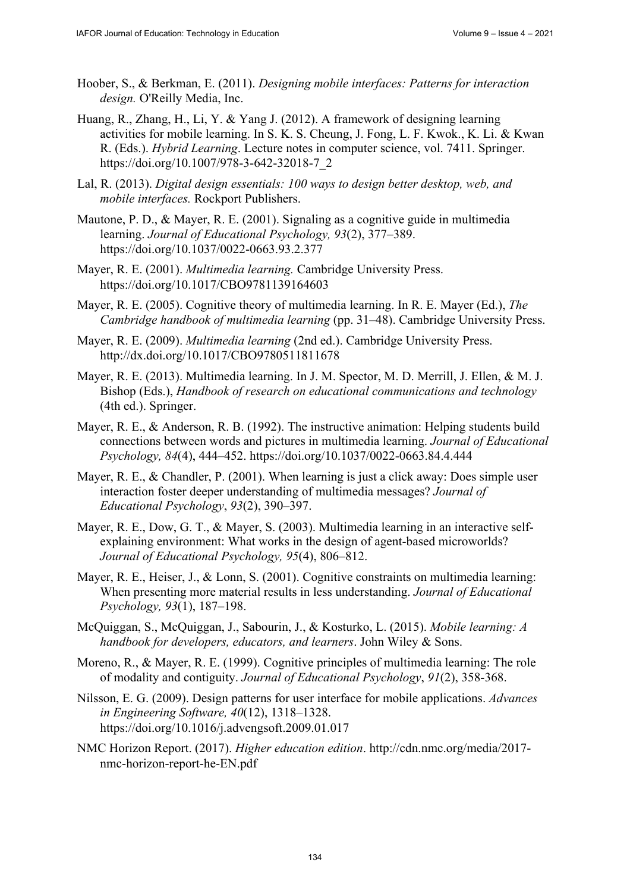- Hoober, S., & Berkman, E. (2011). *Designing mobile interfaces: Patterns for interaction design.* O'Reilly Media, Inc.
- Huang, R., Zhang, H., Li, Y. & Yang J. (2012). A framework of designing learning activities for mobile learning. In S. K. S. Cheung, J. Fong, L. F. Kwok., K. Li. & Kwan R. (Eds.). *Hybrid Learning*. Lecture notes in computer science, vol. 7411. Springer. [https://doi.org/10.1007/978-3-642-32018-7\\_2](https://doi.org/10.1007/978-3-642-32018-7_2)
- Lal, R. (2013). *Digital design essentials: 100 ways to design better desktop, web, and mobile interfaces.* Rockport Publishers.
- Mautone, P. D., & Mayer, R. E. (2001). Signaling as a cognitive guide in multimedia learning. *Journal of Educational Psychology, 93*(2), 377–389. <https://doi.org/10.1037/0022-0663.93.2.377>
- Mayer, R. E. (2001). *Multimedia learning.* Cambridge University Press. <https://doi.org/10.1017/CBO9781139164603>
- Mayer, R. E. (2005). Cognitive theory of multimedia learning. In R. E. Mayer (Ed.), *The Cambridge handbook of multimedia learning* (pp. 31–48). Cambridge University Press.
- Mayer, R. E. (2009). *Multimedia learning* (2nd ed.). Cambridge University Press. <http://dx.doi.org/10.1017/CBO9780511811678>
- Mayer, R. E. (2013). Multimedia learning. In J. M. Spector, M. D. Merrill, J. Ellen, & M. J. Bishop (Eds.), *Handbook of research on educational communications and technology*  (4th ed.). Springer.
- Mayer, R. E., & Anderson, R. B. (1992). The instructive animation: Helping students build connections between words and pictures in multimedia learning. *Journal of Educational Psychology, 84*(4), 444–452. <https://doi.org/10.1037/0022-0663.84.4.444>
- Mayer, R. E., & Chandler, P. (2001). When learning is just a click away: Does simple user interaction foster deeper understanding of multimedia messages? *Journal of Educational Psychology*, *93*(2), 390–397.
- Mayer, R. E., Dow, G. T., & Mayer, S. (2003). Multimedia learning in an interactive selfexplaining environment: What works in the design of agent-based microworlds? *Journal of Educational Psychology, 95*(4), 806–812.
- Mayer, R. E., Heiser, J., & Lonn, S. (2001). Cognitive constraints on multimedia learning: When presenting more material results in less understanding. *Journal of Educational Psychology, 93*(1), 187–198.
- McQuiggan, S., McQuiggan, J., Sabourin, J., & Kosturko, L. (2015). *Mobile learning: A handbook for developers, educators, and learners*. John Wiley & Sons.
- Moreno, R., & Mayer, R. E. (1999). Cognitive principles of multimedia learning: The role of modality and contiguity. *Journal of Educational Psychology*, *91*(2), 358-368.
- Nilsson, E. G. (2009). Design patterns for user interface for mobile applications. *Advances in Engineering Software, 40*(12), 1318–1328. <https://doi.org/10.1016/j.advengsoft.2009.01.017>
- NMC Horizon Report. (2017). *Higher education edition*. [http://cdn.nmc.org/media/2017](http://cdn.nmc.org/media/2017-nmc-horizon-report-he-EN.pdf) [nmc-horizon-report-he-EN.pdf](http://cdn.nmc.org/media/2017-nmc-horizon-report-he-EN.pdf)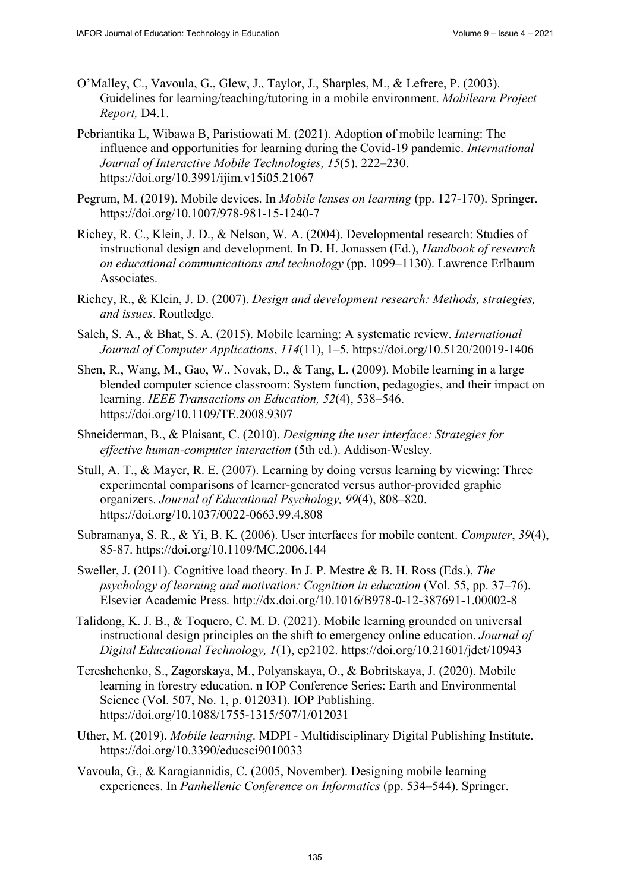- O'Malley, C., Vavoula, G., Glew, J., Taylor, J., Sharples, M., & Lefrere, P. (2003). Guidelines for learning/teaching/tutoring in a mobile environment. *Mobilearn Project Report,* D4.1.
- Pebriantika L, Wibawa B, Paristiowati M. (2021). Adoption of mobile learning: The influence and opportunities for learning during the Covid-19 pandemic. *International Journal of Interactive Mobile Technologies, 15*(5). 222–230. <https://doi.org/10.3991/ijim.v15i05.21067>
- Pegrum, M. (2019). Mobile devices. In *Mobile lenses on learning* (pp. 127-170). Springer. <https://doi.org/10.1007/978-981-15-1240-7>
- Richey, R. C., Klein, J. D., & Nelson, W. A. (2004). Developmental research: Studies of instructional design and development. In D. H. Jonassen (Ed.), *Handbook of research on educational communications and technology* (pp. 1099–1130). Lawrence Erlbaum Associates.
- Richey, R., & Klein, J. D. (2007). *Design and development research: Methods, strategies, and issues*. Routledge.
- Saleh, S. A., & Bhat, S. A. (2015). Mobile learning: A systematic review. *International Journal of Computer Applications*, *114*(11), 1–5. <https://doi.org/10.5120/20019-1406>
- Shen, R., Wang, M., Gao, W., Novak, D., & Tang, L. (2009). Mobile learning in a large blended computer science classroom: System function, pedagogies, and their impact on learning. *IEEE Transactions on Education, 52*(4), 538–546. <https://doi.org/10.1109/TE.2008.9307>
- Shneiderman, B., & Plaisant, C. (2010). *Designing the user interface: Strategies for effective human-computer interaction* (5th ed.). Addison-Wesley.
- Stull, A. T., & Mayer, R. E. (2007). Learning by doing versus learning by viewing: Three experimental comparisons of learner-generated versus author-provided graphic organizers. *Journal of Educational Psychology, 99*(4), 808–820. <https://doi.org/10.1037/0022-0663.99.4.808>
- Subramanya, S. R., & Yi, B. K. (2006). User interfaces for mobile content. *Computer*, *39*(4), 85-87.<https://doi.org/10.1109/MC.2006.144>
- Sweller, J. (2011). Cognitive load theory. In J. P. Mestre & B. H. Ross (Eds.), *The psychology of learning and motivation: Cognition in education* (Vol. 55, pp. 37–76). Elsevier Academic Press. <http://dx.doi.org/10.1016/B978-0-12-387691-1.00002-8>
- Talidong, K. J. B., & Toquero, C. M. D. (2021). Mobile learning grounded on universal instructional design principles on the shift to emergency online education. *Journal of Digital Educational Technology, 1*(1), ep2102.<https://doi.org/10.21601/jdet/10943>
- Tereshchenko, S., Zagorskaya, M., Polyanskaya, O., & Bobritskaya, J. (2020). Mobile learning in forestry education. n IOP Conference Series: Earth and Environmental Science (Vol. 507, No. 1, p. 012031). IOP Publishing. <https://doi.org/10.1088/1755-1315/507/1/012031>
- Uther, M. (2019). *Mobile learning*. MDPI Multidisciplinary Digital Publishing Institute. <https://doi.org/10.3390/educsci9010033>
- Vavoula, G., & Karagiannidis, C. (2005, November). Designing mobile learning experiences. In *Panhellenic Conference on Informatics* (pp. 534–544). Springer.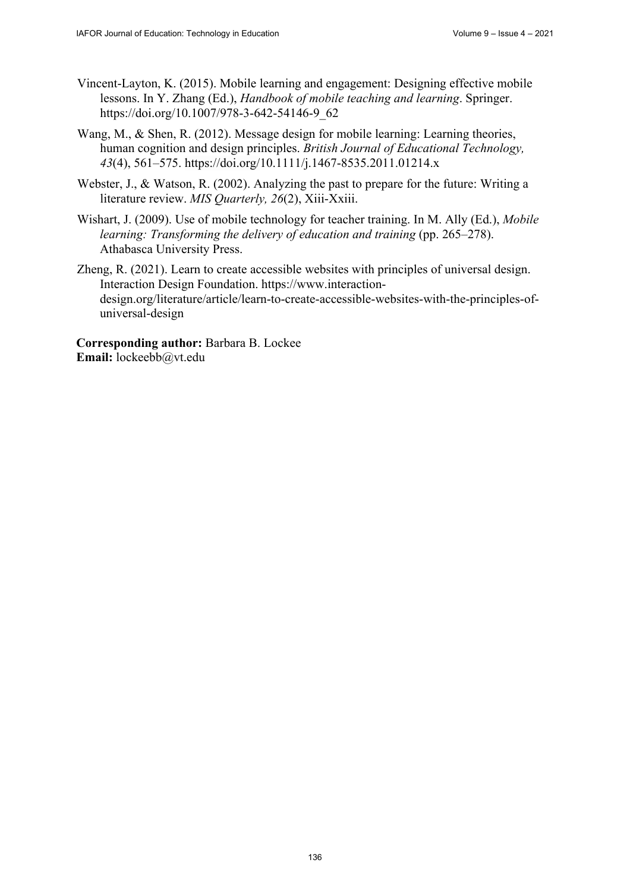- Vincent-Layton, K. (2015). Mobile learning and engagement: Designing effective mobile lessons. In Y. Zhang (Ed.), *Handbook of mobile teaching and learning*. Springer. [https://doi.org/10.1007/978-3-642-54146-9\\_62](https://doi.org/10.1007/978-3-642-54146-9_62)
- Wang, M., & Shen, R. (2012). Message design for mobile learning: Learning theories, human cognition and design principles. *British Journal of Educational Technology, 43*(4), 561–575.<https://doi.org/10.1111/j.1467-8535.2011.01214.x>
- Webster, J., & Watson, R. (2002). Analyzing the past to prepare for the future: Writing a literature review. *MIS Quarterly, 26*(2), Xiii-Xxiii.
- Wishart, J. (2009). Use of mobile technology for teacher training. In M. Ally (Ed.), *Mobile learning: Transforming the delivery of education and training (pp. 265–278).* Athabasca University Press.
- Zheng, R. (2021). Learn to create accessible websites with principles of universal design. Interaction Design Foundation. [https://www.int](https://www.interaction-design.org/literature/article/learn-to-create-accessible-websites-with-the-principles-of-universal-design)eraction[design.org/literature/article/learn-to-create-accessible-websites-with-the-principles-of](https://www.interaction-design.org/literature/article/learn-to-create-accessible-websites-with-the-principles-of-universal-design)universal[-design](https://www.interaction-design.org/literature/article/learn-to-create-accessible-websites-with-the-principles-of-universal-design)

**Corresponding author:** Barbara B. Lockee **Email:** [lockeebb@vt.edu](mailto:lockeebb@vt.edu)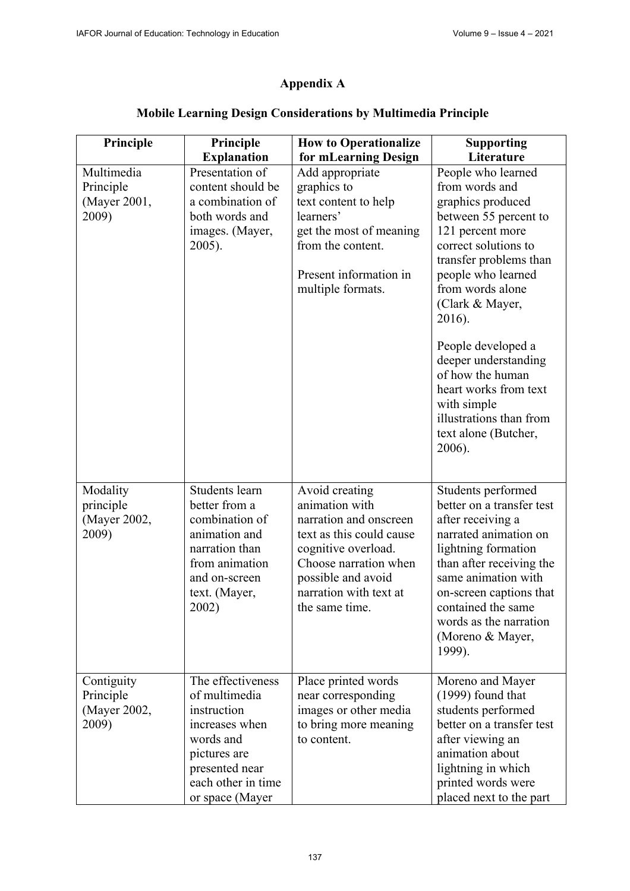## **Appendix A**

| Principle                 | Principle                             | <b>How to Operationalize</b>                | <b>Supporting</b><br>Literature               |
|---------------------------|---------------------------------------|---------------------------------------------|-----------------------------------------------|
| Multimedia                | <b>Explanation</b><br>Presentation of | for mLearning Design<br>Add appropriate     | People who learned                            |
| Principle                 | content should be                     | graphics to                                 | from words and                                |
| (Mayer 2001,              | a combination of                      | text content to help                        | graphics produced                             |
| 2009)                     | both words and                        | learners'                                   | between 55 percent to                         |
|                           | images. (Mayer,                       | get the most of meaning                     | 121 percent more                              |
|                           | 2005).                                | from the content.                           | correct solutions to                          |
|                           |                                       |                                             | transfer problems than                        |
|                           |                                       | Present information in                      | people who learned                            |
|                           |                                       | multiple formats.                           | from words alone                              |
|                           |                                       |                                             | (Clark & Mayer,                               |
|                           |                                       |                                             | 2016).                                        |
|                           |                                       |                                             | People developed a                            |
|                           |                                       |                                             | deeper understanding                          |
|                           |                                       |                                             | of how the human                              |
|                           |                                       |                                             | heart works from text                         |
|                           |                                       |                                             | with simple<br>illustrations than from        |
|                           |                                       |                                             | text alone (Butcher,                          |
|                           |                                       |                                             | 2006).                                        |
|                           |                                       |                                             |                                               |
| Modality                  | Students learn                        | Avoid creating                              | Students performed                            |
| principle                 | better from a                         | animation with                              | better on a transfer test                     |
| (Mayer 2002,              | combination of                        | narration and onscreen                      | after receiving a                             |
| 2009)                     | animation and                         | text as this could cause                    | narrated animation on                         |
|                           | narration than                        | cognitive overload.                         | lightning formation                           |
|                           | from animation                        | Choose narration when                       | than after receiving the                      |
|                           | and on-screen                         | possible and avoid                          | same animation with                           |
|                           | text. (Mayer,                         | narration with text at                      | on-screen captions that<br>contained the same |
|                           | 2002)                                 | the same time.                              | words as the narration                        |
|                           |                                       |                                             | (Moreno & Mayer,                              |
|                           |                                       |                                             | 1999).                                        |
|                           |                                       |                                             |                                               |
| Contiguity                | The effectiveness                     | Place printed words                         | Moreno and Mayer                              |
| Principle<br>(Mayer 2002, | of multimedia<br>instruction          | near corresponding<br>images or other media | $(1999)$ found that<br>students performed     |
| 2009)                     | increases when                        | to bring more meaning                       | better on a transfer test                     |
|                           | words and                             | to content.                                 | after viewing an                              |
|                           | pictures are                          |                                             | animation about                               |
|                           | presented near                        |                                             | lightning in which                            |
|                           | each other in time                    |                                             | printed words were                            |
|                           | or space (Mayer                       |                                             | placed next to the part                       |

## **Mobile Learning Design Considerations by Multimedia Principle**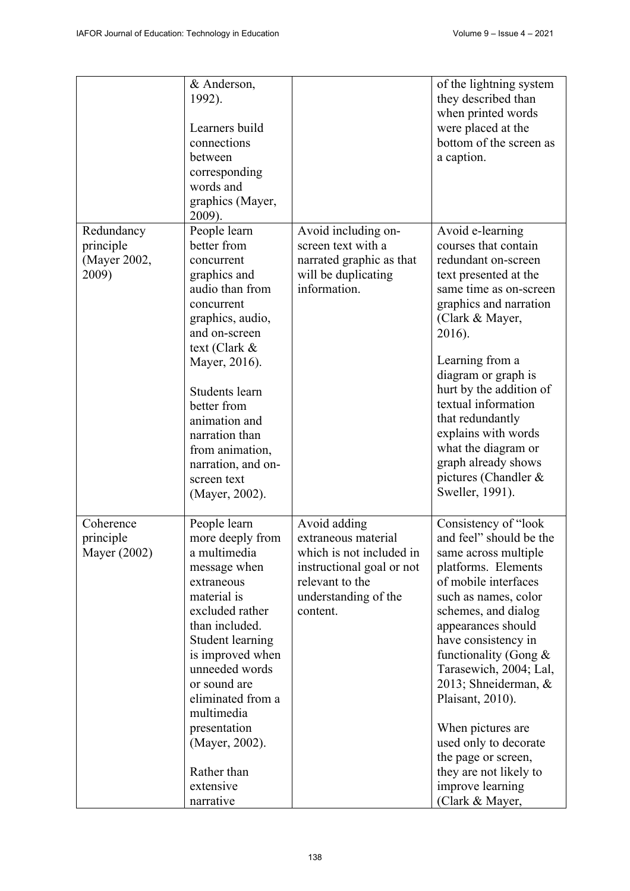|                                                  | & Anderson,<br>1992).<br>Learners build<br>connections<br>between<br>corresponding<br>words and<br>graphics (Mayer,<br>2009).                                                                                                                                                                                                     |                                                                                                                                                     | of the lightning system<br>they described than<br>when printed words<br>were placed at the<br>bottom of the screen as<br>a caption.                                                                                                                                                                                                                                                                                                                         |
|--------------------------------------------------|-----------------------------------------------------------------------------------------------------------------------------------------------------------------------------------------------------------------------------------------------------------------------------------------------------------------------------------|-----------------------------------------------------------------------------------------------------------------------------------------------------|-------------------------------------------------------------------------------------------------------------------------------------------------------------------------------------------------------------------------------------------------------------------------------------------------------------------------------------------------------------------------------------------------------------------------------------------------------------|
| Redundancy<br>principle<br>(Mayer 2002,<br>2009) | People learn<br>better from<br>concurrent<br>graphics and<br>audio than from<br>concurrent<br>graphics, audio,<br>and on-screen<br>text (Clark &<br>Mayer, 2016).<br>Students learn<br>better from<br>animation and<br>narration than<br>from animation,<br>narration, and on-<br>screen text<br>(Mayer, 2002).                   | Avoid including on-<br>screen text with a<br>narrated graphic as that<br>will be duplicating<br>information.                                        | Avoid e-learning<br>courses that contain<br>redundant on-screen<br>text presented at the<br>same time as on-screen<br>graphics and narration<br>(Clark & Mayer,<br>2016).<br>Learning from a<br>diagram or graph is<br>hurt by the addition of<br>textual information<br>that redundantly<br>explains with words<br>what the diagram or<br>graph already shows<br>pictures (Chandler &<br>Sweller, 1991).                                                   |
| Coherence<br>principle<br>Mayer (2002)           | People learn<br>more deeply from<br>a multimedia<br>message when<br>extraneous<br>material is<br>excluded rather<br>than included.<br><b>Student learning</b><br>is improved when<br>unneeded words<br>or sound are<br>eliminated from a<br>multimedia<br>presentation<br>(Mayer, 2002).<br>Rather than<br>extensive<br>narrative | Avoid adding<br>extraneous material<br>which is not included in<br>instructional goal or not<br>relevant to the<br>understanding of the<br>content. | Consistency of "look"<br>and feel" should be the<br>same across multiple<br>platforms. Elements<br>of mobile interfaces<br>such as names, color<br>schemes, and dialog<br>appearances should<br>have consistency in<br>functionality (Gong $\&$<br>Tarasewich, 2004; Lal,<br>2013; Shneiderman, &<br>Plaisant, 2010).<br>When pictures are<br>used only to decorate<br>the page or screen,<br>they are not likely to<br>improve learning<br>(Clark & Mayer, |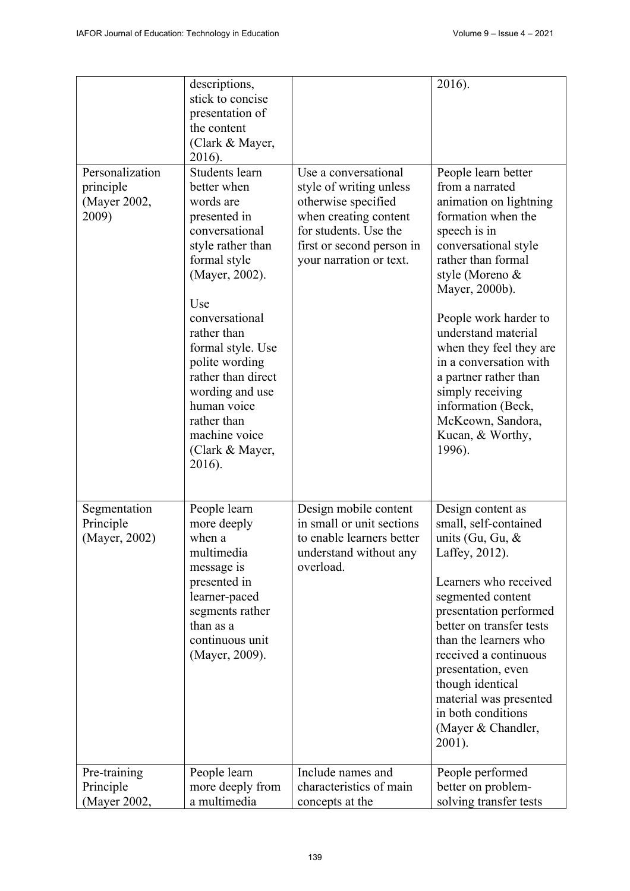|                                                       | descriptions,<br>stick to concise<br>presentation of<br>the content<br>(Clark & Mayer,<br>2016).                                                                                                                                                                                                                                        |                                                                                                                                                                                  | 2016).                                                                                                                                                                                                                                                                                                                                                                                                               |
|-------------------------------------------------------|-----------------------------------------------------------------------------------------------------------------------------------------------------------------------------------------------------------------------------------------------------------------------------------------------------------------------------------------|----------------------------------------------------------------------------------------------------------------------------------------------------------------------------------|----------------------------------------------------------------------------------------------------------------------------------------------------------------------------------------------------------------------------------------------------------------------------------------------------------------------------------------------------------------------------------------------------------------------|
| Personalization<br>principle<br>(Mayer 2002,<br>2009) | Students learn<br>better when<br>words are<br>presented in<br>conversational<br>style rather than<br>formal style<br>(Mayer, 2002).<br>Use<br>conversational<br>rather than<br>formal style. Use<br>polite wording<br>rather than direct<br>wording and use<br>human voice<br>rather than<br>machine voice<br>(Clark & Mayer,<br>2016). | Use a conversational<br>style of writing unless<br>otherwise specified<br>when creating content<br>for students. Use the<br>first or second person in<br>your narration or text. | People learn better<br>from a narrated<br>animation on lightning<br>formation when the<br>speech is in<br>conversational style<br>rather than formal<br>style (Moreno &<br>Mayer, 2000b).<br>People work harder to<br>understand material<br>when they feel they are<br>in a conversation with<br>a partner rather than<br>simply receiving<br>information (Beck,<br>McKeown, Sandora,<br>Kucan, & Worthy,<br>1996). |
| Segmentation<br>Principle<br>(Mayer, 2002)            | People learn<br>more deeply<br>when a<br>multimedia<br>message is<br>presented in<br>learner-paced<br>segments rather<br>than as a<br>continuous unit<br>(Mayer, 2009).                                                                                                                                                                 | Design mobile content<br>in small or unit sections<br>to enable learners better<br>understand without any<br>overload.                                                           | Design content as<br>small, self-contained<br>units (Gu, Gu, $\&$<br>Laffey, 2012).<br>Learners who received<br>segmented content<br>presentation performed<br>better on transfer tests<br>than the learners who<br>received a continuous<br>presentation, even<br>though identical<br>material was presented<br>in both conditions<br>(Mayer & Chandler,<br>2001).                                                  |
| Pre-training<br>Principle<br>(Mayer 2002,             | People learn<br>more deeply from<br>a multimedia                                                                                                                                                                                                                                                                                        | Include names and<br>characteristics of main<br>concepts at the                                                                                                                  | People performed<br>better on problem-<br>solving transfer tests                                                                                                                                                                                                                                                                                                                                                     |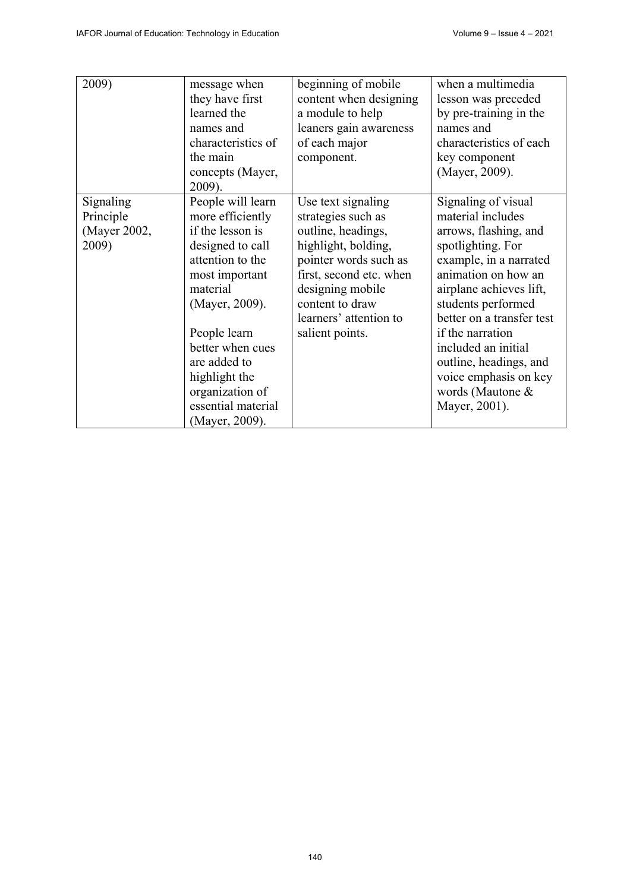| 2009)        | message when       | beginning of mobile     | when a multimedia         |
|--------------|--------------------|-------------------------|---------------------------|
|              | they have first    | content when designing  | lesson was preceded       |
|              | learned the        | a module to help        | by pre-training in the    |
|              | names and          | leaners gain awareness  | names and                 |
|              | characteristics of | of each major           | characteristics of each   |
|              | the main           | component.              | key component             |
|              | concepts (Mayer,   |                         | (Mayer, 2009).            |
|              | 2009).             |                         |                           |
| Signaling    | People will learn  | Use text signaling      | Signaling of visual       |
| Principle    | more efficiently   | strategies such as      | material includes         |
| (Mayer 2002, | if the lesson is   | outline, headings,      | arrows, flashing, and     |
| 2009)        | designed to call   | highlight, bolding,     | spotlighting. For         |
|              | attention to the   | pointer words such as   | example, in a narrated    |
|              | most important     | first, second etc. when | animation on how an       |
|              | material           | designing mobile        | airplane achieves lift,   |
|              | (Mayer, 2009).     | content to draw         | students performed        |
|              |                    | learners' attention to  | better on a transfer test |
|              | People learn       | salient points.         | if the narration          |
|              | better when cues   |                         | included an initial       |
|              | are added to       |                         | outline, headings, and    |
|              | highlight the      |                         | voice emphasis on key     |
|              | organization of    |                         | words (Mautone &          |
|              | essential material |                         | Mayer, 2001).             |
|              | (Mayer, 2009).     |                         |                           |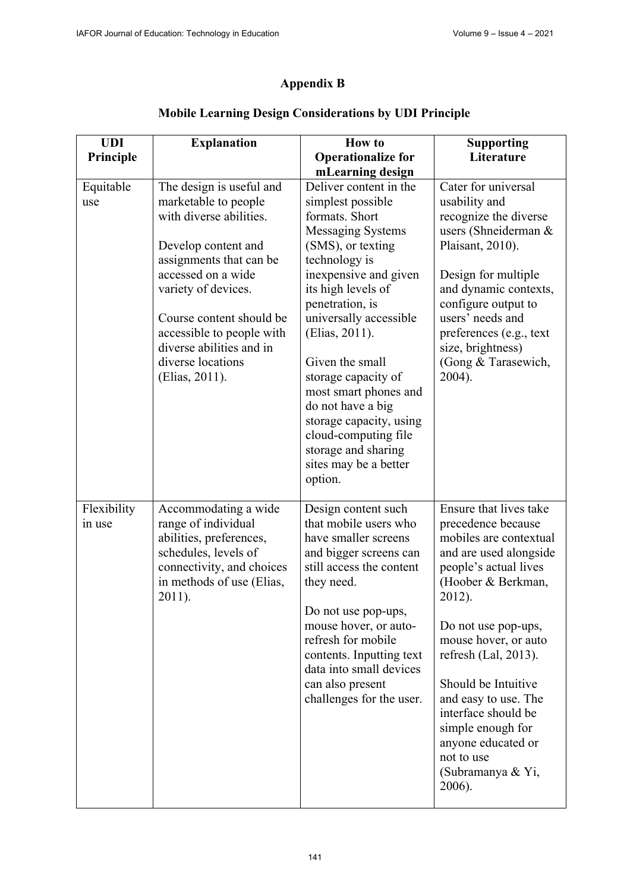# **Appendix B**

| <b>UDI</b>            | <b>Explanation</b>                                                                                                                                                                                                                                                                                     | <b>How to</b>                                                                                                                                                                                                                                                                                                                                                                                                                                                           | <b>Supporting</b>                                                                                                                                                                                                                                                                                                                                                                              |
|-----------------------|--------------------------------------------------------------------------------------------------------------------------------------------------------------------------------------------------------------------------------------------------------------------------------------------------------|-------------------------------------------------------------------------------------------------------------------------------------------------------------------------------------------------------------------------------------------------------------------------------------------------------------------------------------------------------------------------------------------------------------------------------------------------------------------------|------------------------------------------------------------------------------------------------------------------------------------------------------------------------------------------------------------------------------------------------------------------------------------------------------------------------------------------------------------------------------------------------|
| Principle             |                                                                                                                                                                                                                                                                                                        | <b>Operationalize for</b>                                                                                                                                                                                                                                                                                                                                                                                                                                               | Literature                                                                                                                                                                                                                                                                                                                                                                                     |
|                       |                                                                                                                                                                                                                                                                                                        |                                                                                                                                                                                                                                                                                                                                                                                                                                                                         |                                                                                                                                                                                                                                                                                                                                                                                                |
| Equitable<br>use      | The design is useful and<br>marketable to people<br>with diverse abilities.<br>Develop content and<br>assignments that can be<br>accessed on a wide<br>variety of devices.<br>Course content should be<br>accessible to people with<br>diverse abilities and in<br>diverse locations<br>(Elias, 2011). | mLearning design<br>Deliver content in the<br>simplest possible<br>formats. Short<br><b>Messaging Systems</b><br>(SMS), or texting<br>technology is<br>inexpensive and given<br>its high levels of<br>penetration, is<br>universally accessible<br>(Elias, 2011).<br>Given the small<br>storage capacity of<br>most smart phones and<br>do not have a big<br>storage capacity, using<br>cloud-computing file<br>storage and sharing<br>sites may be a better<br>option. | Cater for universal<br>usability and<br>recognize the diverse<br>users (Shneiderman &<br>Plaisant, 2010).<br>Design for multiple<br>and dynamic contexts,<br>configure output to<br>users' needs and<br>preferences (e.g., text<br>size, brightness)<br>(Gong & Tarasewich,<br>2004).                                                                                                          |
| Flexibility<br>in use | Accommodating a wide<br>range of individual<br>abilities, preferences,<br>schedules, levels of<br>connectivity, and choices<br>in methods of use (Elias,<br>2011).                                                                                                                                     | Design content such<br>that mobile users who<br>have smaller screens<br>and bigger screens can<br>still access the content<br>they need.<br>Do not use pop-ups,<br>mouse hover, or auto-<br>refresh for mobile<br>contents. Inputting text<br>data into small devices<br>can also present<br>challenges for the user.                                                                                                                                                   | Ensure that lives take<br>precedence because<br>mobiles are contextual<br>and are used alongside<br>people's actual lives<br>(Hoober & Berkman,<br>2012).<br>Do not use pop-ups,<br>mouse hover, or auto<br>refresh (Lal, 2013).<br>Should be Intuitive<br>and easy to use. The<br>interface should be<br>simple enough for<br>anyone educated or<br>not to use<br>(Subramanya & Yi,<br>2006). |

# **Mobile Learning Design Considerations by UDI Principle**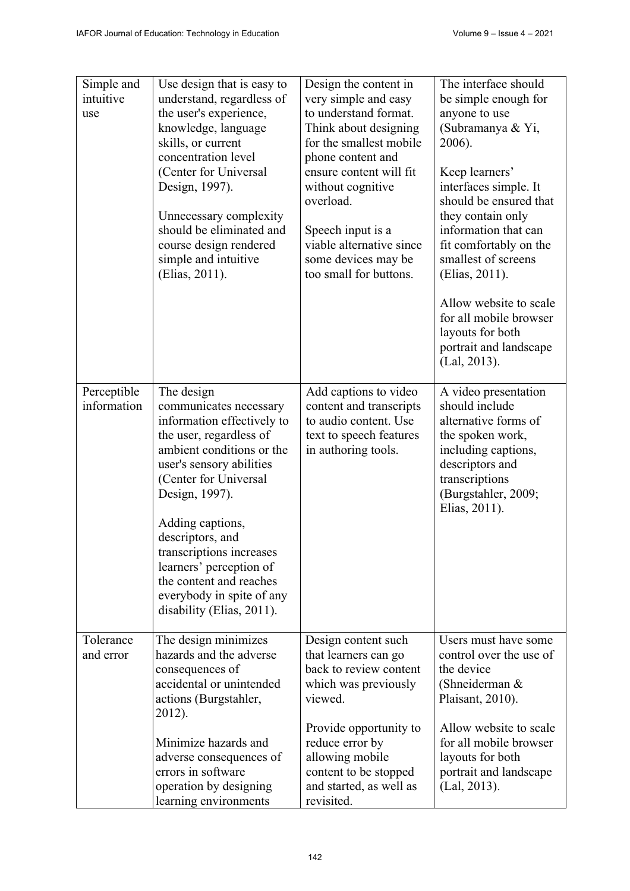| Simple and<br>intuitive<br>use | Use design that is easy to<br>understand, regardless of<br>the user's experience,<br>knowledge, language<br>skills, or current<br>concentration level<br>(Center for Universal<br>Design, 1997).<br>Unnecessary complexity<br>should be eliminated and<br>course design rendered<br>simple and intuitive<br>(Elias, 2011).                                                            | Design the content in<br>very simple and easy<br>to understand format.<br>Think about designing<br>for the smallest mobile<br>phone content and<br>ensure content will fit<br>without cognitive<br>overload.<br>Speech input is a<br>viable alternative since<br>some devices may be<br>too small for buttons. | The interface should<br>be simple enough for<br>anyone to use<br>(Subramanya & Yi,<br>2006).<br>Keep learners'<br>interfaces simple. It<br>should be ensured that<br>they contain only<br>information that can<br>fit comfortably on the<br>smallest of screens<br>(Elias, 2011).<br>Allow website to scale<br>for all mobile browser<br>layouts for both<br>portrait and landscape<br>(Lal, 2013). |
|--------------------------------|---------------------------------------------------------------------------------------------------------------------------------------------------------------------------------------------------------------------------------------------------------------------------------------------------------------------------------------------------------------------------------------|----------------------------------------------------------------------------------------------------------------------------------------------------------------------------------------------------------------------------------------------------------------------------------------------------------------|-----------------------------------------------------------------------------------------------------------------------------------------------------------------------------------------------------------------------------------------------------------------------------------------------------------------------------------------------------------------------------------------------------|
| Perceptible<br>information     | The design<br>communicates necessary<br>information effectively to<br>the user, regardless of<br>ambient conditions or the<br>user's sensory abilities<br>(Center for Universal<br>Design, 1997).<br>Adding captions,<br>descriptors, and<br>transcriptions increases<br>learners' perception of<br>the content and reaches<br>everybody in spite of any<br>disability (Elias, 2011). | Add captions to video<br>content and transcripts<br>to audio content. Use<br>text to speech features<br>in authoring tools.                                                                                                                                                                                    | A video presentation<br>should include<br>alternative forms of<br>the spoken work,<br>including captions,<br>descriptors and<br>transcriptions<br>(Burgstahler, 2009;<br>Elias, 2011).                                                                                                                                                                                                              |
| Tolerance<br>and error         | The design minimizes<br>hazards and the adverse<br>consequences of<br>accidental or unintended<br>actions (Burgstahler,<br>2012).<br>Minimize hazards and<br>adverse consequences of<br>errors in software<br>operation by designing<br>learning environments                                                                                                                         | Design content such<br>that learners can go<br>back to review content<br>which was previously<br>viewed.<br>Provide opportunity to<br>reduce error by<br>allowing mobile<br>content to be stopped<br>and started, as well as<br>revisited.                                                                     | Users must have some<br>control over the use of<br>the device<br>(Shneiderman &<br>Plaisant, 2010).<br>Allow website to scale<br>for all mobile browser<br>layouts for both<br>portrait and landscape<br>(Lal, 2013).                                                                                                                                                                               |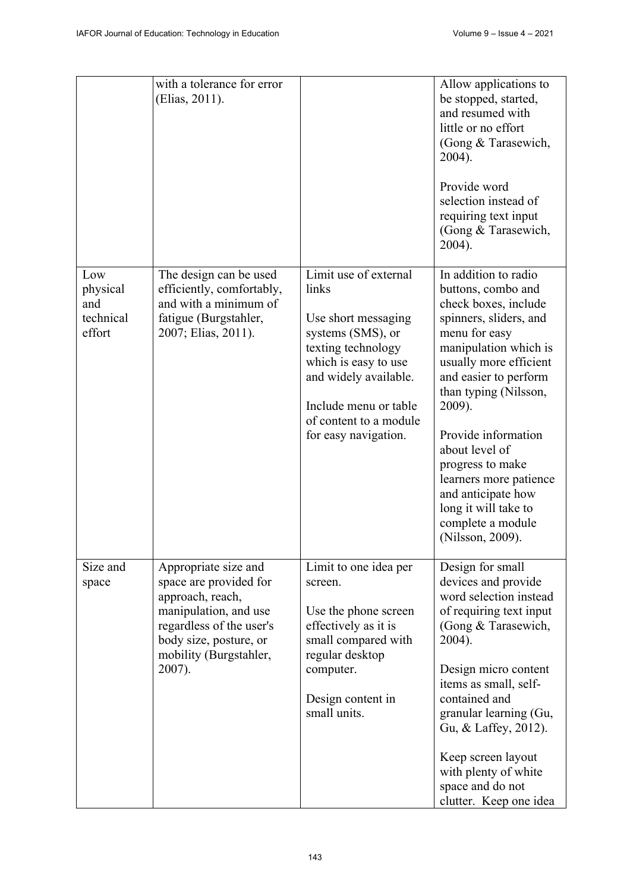|                                               | with a tolerance for error<br>(Elias, 2011).                                                                                                                                          |                                                                                                                                                                                                                              | Allow applications to<br>be stopped, started,<br>and resumed with<br>little or no effort<br>(Gong & Tarasewich,<br>2004).<br>Provide word<br>selection instead of<br>requiring text input<br>(Gong & Tarasewich,<br>2004).                                                                                                                                                                                 |
|-----------------------------------------------|---------------------------------------------------------------------------------------------------------------------------------------------------------------------------------------|------------------------------------------------------------------------------------------------------------------------------------------------------------------------------------------------------------------------------|------------------------------------------------------------------------------------------------------------------------------------------------------------------------------------------------------------------------------------------------------------------------------------------------------------------------------------------------------------------------------------------------------------|
| Low<br>physical<br>and<br>technical<br>effort | The design can be used<br>efficiently, comfortably,<br>and with a minimum of<br>fatigue (Burgstahler,<br>2007; Elias, 2011).                                                          | Limit use of external<br>links<br>Use short messaging<br>systems (SMS), or<br>texting technology<br>which is easy to use<br>and widely available.<br>Include menu or table<br>of content to a module<br>for easy navigation. | In addition to radio<br>buttons, combo and<br>check boxes, include<br>spinners, sliders, and<br>menu for easy<br>manipulation which is<br>usually more efficient<br>and easier to perform<br>than typing (Nilsson,<br>2009).<br>Provide information<br>about level of<br>progress to make<br>learners more patience<br>and anticipate how<br>long it will take to<br>complete a module<br>(Nilsson, 2009). |
| Size and<br>space                             | Appropriate size and<br>space are provided for<br>approach, reach,<br>manipulation, and use<br>regardless of the user's<br>body size, posture, or<br>mobility (Burgstahler,<br>2007). | Limit to one idea per<br>screen.<br>Use the phone screen<br>effectively as it is<br>small compared with<br>regular desktop<br>computer.<br>Design content in<br>small units.                                                 | Design for small<br>devices and provide<br>word selection instead<br>of requiring text input<br>(Gong & Tarasewich,<br>2004).<br>Design micro content<br>items as small, self-<br>contained and<br>granular learning (Gu,<br>Gu, & Laffey, 2012).<br>Keep screen layout<br>with plenty of white<br>space and do not<br>clutter. Keep one idea                                                              |